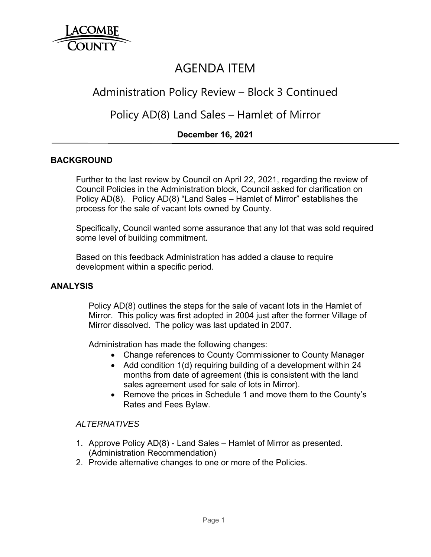

# AGENDA ITEM

## Administration Policy Review – Block 3 Continued

## Policy AD(8) Land Sales – Hamlet of Mirror

## **December 16, 2021**

## **BACKGROUND**

Further to the last review by Council on April 22, 2021, regarding the review of Council Policies in the Administration block, Council asked for clarification on Policy AD(8). Policy AD(8) "Land Sales – Hamlet of Mirror" establishes the process for the sale of vacant lots owned by County.

Specifically, Council wanted some assurance that any lot that was sold required some level of building commitment.

Based on this feedback Administration has added a clause to require development within a specific period.

#### **ANALYSIS**

Policy AD(8) outlines the steps for the sale of vacant lots in the Hamlet of Mirror. This policy was first adopted in 2004 just after the former Village of Mirror dissolved. The policy was last updated in 2007.

Administration has made the following changes:

- Change references to County Commissioner to County Manager
- Add condition 1(d) requiring building of a development within 24 months from date of agreement (this is consistent with the land sales agreement used for sale of lots in Mirror).
- Remove the prices in Schedule 1 and move them to the County's Rates and Fees Bylaw.

### *ALTERNATIVES*

- 1. Approve Policy AD(8) Land Sales Hamlet of Mirror as presented. (Administration Recommendation)
- 2. Provide alternative changes to one or more of the Policies.